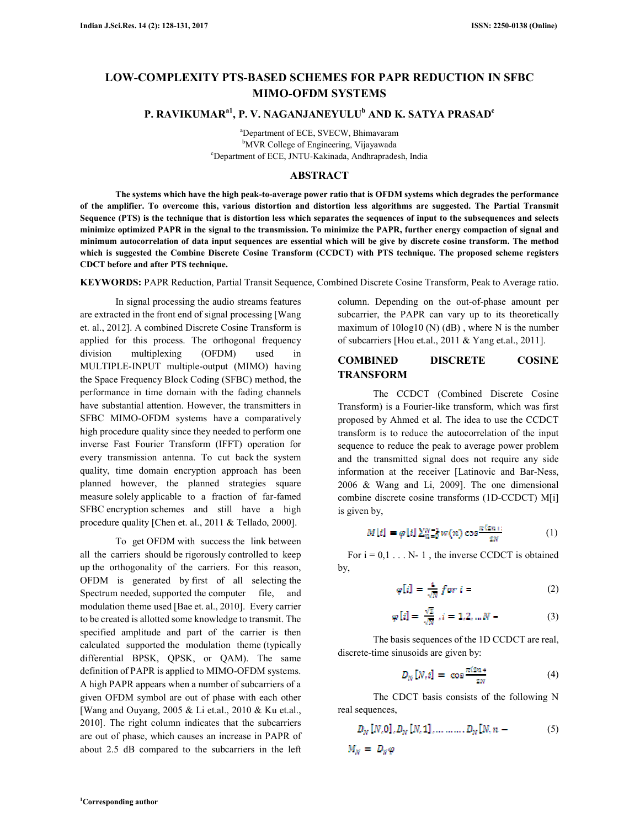# **LOW-COMPLEXITY PTS-BASED SCHEMES FOR PAPR REDUCTION IN SFBC MIMO-OFDM SYSTEMS**

# **P. RAVIKUMARa1, P. V. NAGANJANEYULU<sup>b</sup> AND K. SATYA PRASAD<sup>c</sup>**

<sup>a</sup>Department of ECE, SVECW, Bhimavaram <sup>b</sup>MVR College of Engineering, Vijayawada <sup>c</sup>Department of ECE, JNTU-Kakinada, Andhrapradesh, India

#### **ABSTRACT**

**The systems which have the high peak-to-average power ratio that is OFDM systems which degrades the performance of the amplifier. To overcome this, various distortion and distortion less algorithms are suggested. The Partial Transmit Sequence (PTS) is the technique that is distortion less which separates the sequences of input to the subsequences and selects minimize optimized PAPR in the signal to the transmission. To minimize the PAPR, further energy compaction of signal and minimum autocorrelation of data input sequences are essential which will be give by discrete cosine transform. The method which is suggested the Combine Discrete Cosine Transform (CCDCT) with PTS technique. The proposed scheme registers CDCT before and after PTS technique.** 

**KEYWORDS:** PAPR Reduction, Partial Transit Sequence, Combined Discrete Cosine Transform, Peak to Average ratio.

In signal processing the audio streams features are extracted in the front end of signal processing [Wang et. al., 2012]. A combined Discrete Cosine Transform is applied for this process. The orthogonal frequency division multiplexing (OFDM) used in MULTIPLE-INPUT multiple-output (MIMO) having the Space Frequency Block Coding (SFBC) method, the performance in time domain with the fading channels have substantial attention. However, the transmitters in SFBC MIMO-OFDM systems have a comparatively high procedure quality since they needed to perform one inverse Fast Fourier Transform (IFFT) operation for every transmission antenna. To cut back the system quality, time domain encryption approach has been planned however, the planned strategies square measure solely applicable to a fraction of far-famed SFBC encryption schemes and still have a high procedure quality [Chen et. al., 2011 & Tellado, 2000].

To get OFDM with success the link between all the carriers should be rigorously controlled to keep up the orthogonality of the carriers. For this reason, OFDM is generated by first of all selecting the Spectrum needed, supported the computer file, and modulation theme used [Bae et. al., 2010]. Every carrier to be created is allotted some knowledge to transmit. The specified amplitude and part of the carrier is then calculated supported the modulation theme (typically differential BPSK, QPSK, or QAM). The same definition of PAPR is applied to MIMO-OFDM systems. A high PAPR appears when a number of subcarriers of a given OFDM symbol are out of phase with each other [Wang and Ouyang, 2005 & Li et.al., 2010 & Ku et.al., 2010]. The right column indicates that the subcarriers are out of phase, which causes an increase in PAPR of about 2.5 dB compared to the subcarriers in the left column. Depending on the out-of-phase amount per subcarrier, the PAPR can vary up to its theoretically maximum of 10log10 (N) (dB) , where N is the number of subcarriers [Hou et.al., 2011 & Yang et.al., 2011].

### **COMBINED DISCRETE COSINE TRANSFORM**

The CCDCT (Combined Discrete Cosine Transform) is a Fourier-like transform, which was first proposed by Ahmed et al. The idea to use the CCDCT transform is to reduce the autocorrelation of the input sequence to reduce the peak to average power problem and the transmitted signal does not require any side information at the receiver [Latinovic and Bar-Ness, 2006 & Wang and Li, 2009]. The one dimensional combine discrete cosine transforms (1D-CCDCT) M[i] is given by,

$$
M[i] = \varphi[i] \sum_{n=0}^{N-1} w(n) \cos \frac{\pi (2n)}{2N}
$$
 (1)

For  $i = 0, 1, \ldots, N-1$ , the inverse CCDCT is obtained by,

$$
\varphi[i] = \frac{1}{\sqrt{N}} \text{ for } i = \tag{2}
$$

$$
\varphi[i] = \frac{\sqrt{2}}{\sqrt{N}}, i = 1, 2, \dots N \tag{3}
$$

The basis sequences of the 1D CCDCT are real, discrete-time sinusoids are given by:

$$
D_N[N,i] = \cos \frac{\pi (2n+1)}{2N} \tag{4}
$$

The CDCT basis consists of the following N real sequences,

$$
D_N [N, 0], D_N [N, 1], \dots, \dots, D_N [N, n - 5]
$$
  

$$
M_N = D_N \varphi
$$
 (5)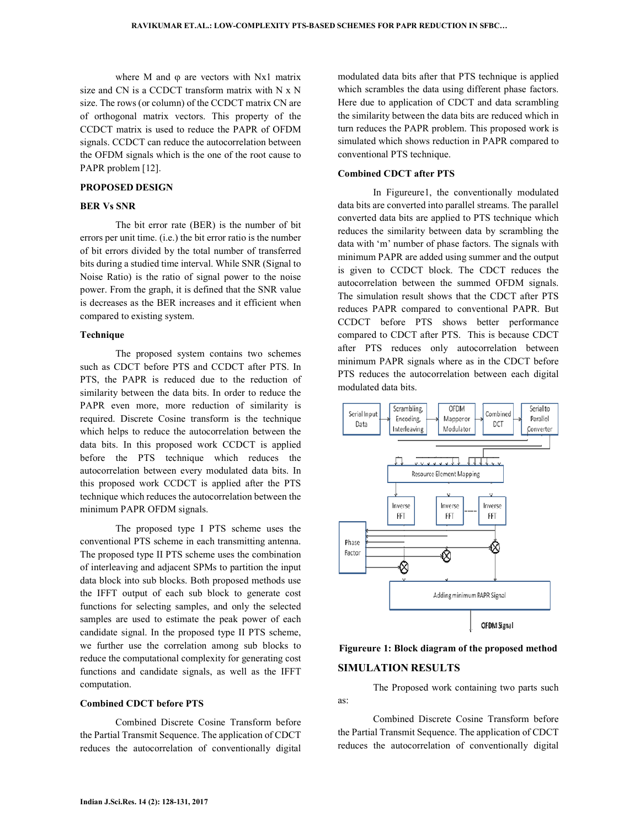where M and  $\varphi$  are vectors with Nx1 matrix size and CN is a CCDCT transform matrix with N x N size. The rows (or column) of the CCDCT matrix CN are of orthogonal matrix vectors. This property of the CCDCT matrix is used to reduce the PAPR of OFDM signals. CCDCT can reduce the autocorrelation between the OFDM signals which is the one of the root cause to PAPR problem [12].

#### **PROPOSED DESIGN**

## **BER Vs SNR**

The bit error rate (BER) is the number of bit errors per unit time. (i.e.) the bit error ratio is the number of bit errors divided by the total number of transferred bits during a studied time interval. While SNR (Signal to Noise Ratio) is the ratio of signal power to the noise power. From the graph, it is defined that the SNR value is decreases as the BER increases and it efficient when compared to existing system.

#### **Technique**

The proposed system contains two schemes such as CDCT before PTS and CCDCT after PTS. In PTS, the PAPR is reduced due to the reduction of similarity between the data bits. In order to reduce the PAPR even more, more reduction of similarity is required. Discrete Cosine transform is the technique which helps to reduce the autocorrelation between the data bits. In this proposed work CCDCT is applied before the PTS technique which reduces the autocorrelation between every modulated data bits. In this proposed work CCDCT is applied after the PTS technique which reduces the autocorrelation between the minimum PAPR OFDM signals.

The proposed type I PTS scheme uses the conventional PTS scheme in each transmitting antenna. The proposed type II PTS scheme uses the combination of interleaving and adjacent SPMs to partition the input data block into sub blocks. Both proposed methods use the IFFT output of each sub block to generate cost functions for selecting samples, and only the selected samples are used to estimate the peak power of each candidate signal. In the proposed type II PTS scheme, we further use the correlation among sub blocks to reduce the computational complexity for generating cost functions and candidate signals, as well as the IFFT computation.

#### **Combined CDCT before PTS**

Combined Discrete Cosine Transform before the Partial Transmit Sequence. The application of CDCT reduces the autocorrelation of conventionally digital modulated data bits after that PTS technique is applied which scrambles the data using different phase factors. Here due to application of CDCT and data scrambling the similarity between the data bits are reduced which in turn reduces the PAPR problem. This proposed work is simulated which shows reduction in PAPR compared to conventional PTS technique.

#### **Combined CDCT after PTS**

In Figureure1, the conventionally modulated data bits are converted into parallel streams. The parallel converted data bits are applied to PTS technique which reduces the similarity between data by scrambling the data with 'm' number of phase factors. The signals with minimum PAPR are added using summer and the output is given to CCDCT block. The CDCT reduces the autocorrelation between the summed OFDM signals. The simulation result shows that the CDCT after PTS reduces PAPR compared to conventional PAPR. But CCDCT before PTS shows better performance compared to CDCT after PTS. This is because CDCT after PTS reduces only autocorrelation between minimum PAPR signals where as in the CDCT before PTS reduces the autocorrelation between each digital modulated data bits.



# **Figureure 1: Block diagram of the proposed method**

# **SIMULATION RESULTS**

The Proposed work containing two parts such as:

Combined Discrete Cosine Transform before the Partial Transmit Sequence. The application of CDCT reduces the autocorrelation of conventionally digital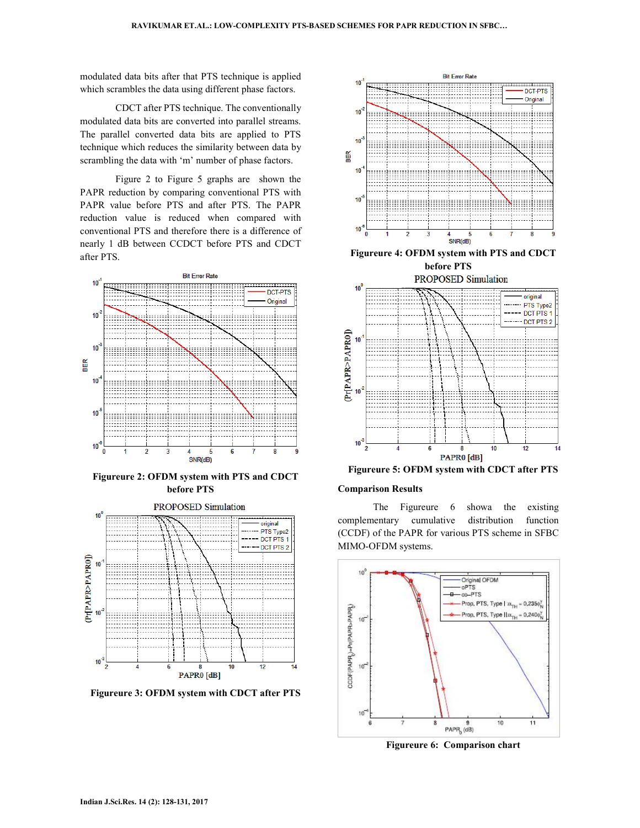modulated data bits after that PTS technique is applied which scrambles the data using different phase factors.

CDCT after PTS technique. The conventionally modulated data bits are converted into parallel streams. The parallel converted data bits are applied to PTS technique which reduces the similarity between data by scrambling the data with 'm' number of phase factors.

Figure 2 to Figure 5 graphs are shown the PAPR reduction by comparing conventional PTS with PAPR value before PTS and after PTS. The PAPR reduction value is reduced when compared with conventional PTS and therefore there is a difference of nearly 1 dB between CCDCT before PTS and CDCT after PTS.



**Figureure 2: OFDM system with PTS and CDCT before PTS** 



**Figureure 3: OFDM system with CDCT after PTS** 



**Figureure 4: OFDM system with PTS and CDCT before PTS** 





**Figureure 5: OFDM system with CDCT after PTS** 

#### **Comparison Results**

The Figureure 6 showa the existing complementary cumulative distribution function (CCDF) of the PAPR for various PTS scheme in SFBC MIMO-OFDM systems.



**Figureure 6: Comparison chart**